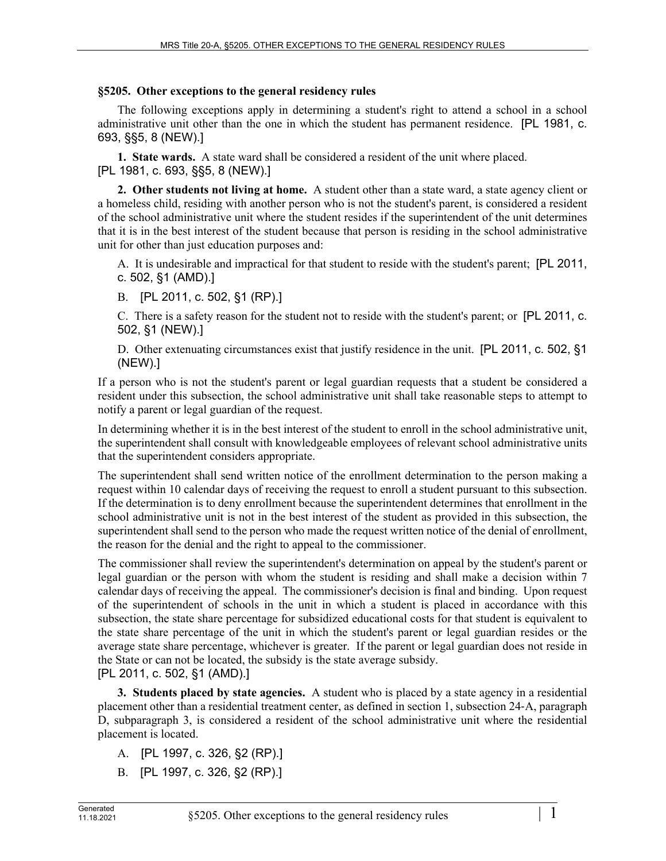#### **§5205. Other exceptions to the general residency rules**

The following exceptions apply in determining a student's right to attend a school in a school administrative unit other than the one in which the student has permanent residence. [PL 1981, c. 693, §§5, 8 (NEW).]

**1. State wards.** A state ward shall be considered a resident of the unit where placed. [PL 1981, c. 693, §§5, 8 (NEW).]

**2. Other students not living at home.** A student other than a state ward, a state agency client or a homeless child, residing with another person who is not the student's parent, is considered a resident of the school administrative unit where the student resides if the superintendent of the unit determines that it is in the best interest of the student because that person is residing in the school administrative unit for other than just education purposes and:

A. It is undesirable and impractical for that student to reside with the student's parent; [PL 2011, c. 502, §1 (AMD).]

B. [PL 2011, c. 502, §1 (RP).]

C. There is a safety reason for the student not to reside with the student's parent; or [PL 2011, c. 502, §1 (NEW).]

D. Other extenuating circumstances exist that justify residence in the unit. [PL 2011, c. 502, §1 (NEW).]

If a person who is not the student's parent or legal guardian requests that a student be considered a resident under this subsection, the school administrative unit shall take reasonable steps to attempt to notify a parent or legal guardian of the request.

In determining whether it is in the best interest of the student to enroll in the school administrative unit, the superintendent shall consult with knowledgeable employees of relevant school administrative units that the superintendent considers appropriate.

The superintendent shall send written notice of the enrollment determination to the person making a request within 10 calendar days of receiving the request to enroll a student pursuant to this subsection. If the determination is to deny enrollment because the superintendent determines that enrollment in the school administrative unit is not in the best interest of the student as provided in this subsection, the superintendent shall send to the person who made the request written notice of the denial of enrollment, the reason for the denial and the right to appeal to the commissioner.

The commissioner shall review the superintendent's determination on appeal by the student's parent or legal guardian or the person with whom the student is residing and shall make a decision within 7 calendar days of receiving the appeal. The commissioner's decision is final and binding. Upon request of the superintendent of schools in the unit in which a student is placed in accordance with this subsection, the state share percentage for subsidized educational costs for that student is equivalent to the state share percentage of the unit in which the student's parent or legal guardian resides or the average state share percentage, whichever is greater. If the parent or legal guardian does not reside in the State or can not be located, the subsidy is the state average subsidy. [PL 2011, c. 502, §1 (AMD).]

**3. Students placed by state agencies.** A student who is placed by a state agency in a residential placement other than a residential treatment center, as defined in section 1, subsection 24‑A, paragraph D, subparagraph 3, is considered a resident of the school administrative unit where the residential placement is located.

- A. [PL 1997, c. 326, §2 (RP).]
- B. [PL 1997, c. 326, §2 (RP).]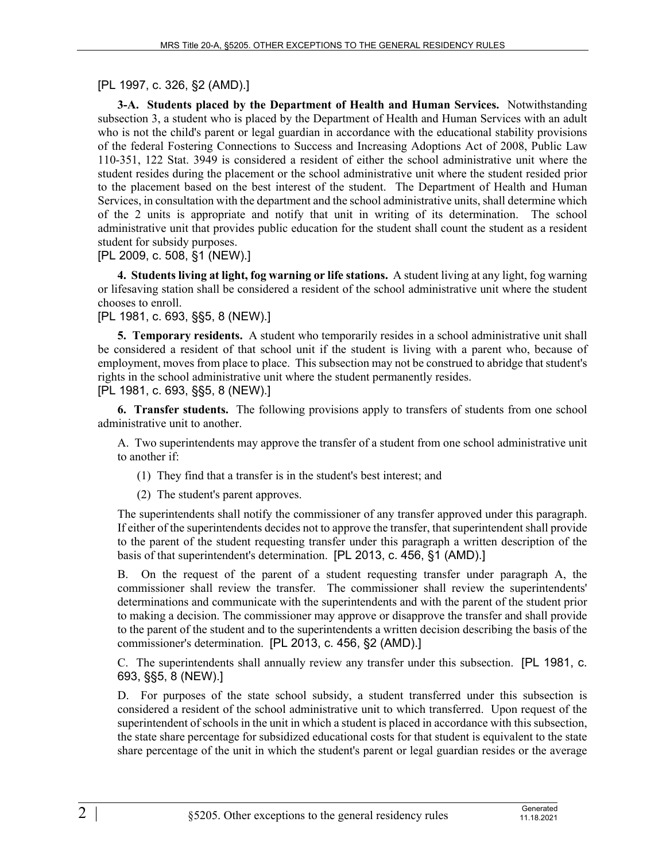### [PL 1997, c. 326, §2 (AMD).]

**3-A. Students placed by the Department of Health and Human Services.** Notwithstanding subsection 3, a student who is placed by the Department of Health and Human Services with an adult who is not the child's parent or legal guardian in accordance with the educational stability provisions of the federal Fostering Connections to Success and Increasing Adoptions Act of 2008, Public Law 110-351, 122 Stat. 3949 is considered a resident of either the school administrative unit where the student resides during the placement or the school administrative unit where the student resided prior to the placement based on the best interest of the student. The Department of Health and Human Services, in consultation with the department and the school administrative units, shall determine which of the 2 units is appropriate and notify that unit in writing of its determination. The school administrative unit that provides public education for the student shall count the student as a resident student for subsidy purposes.

[PL 2009, c. 508, §1 (NEW).]

**4. Students living at light, fog warning or life stations.** A student living at any light, fog warning or lifesaving station shall be considered a resident of the school administrative unit where the student chooses to enroll.

### [PL 1981, c. 693, §§5, 8 (NEW).]

**5. Temporary residents.** A student who temporarily resides in a school administrative unit shall be considered a resident of that school unit if the student is living with a parent who, because of employment, moves from place to place. This subsection may not be construed to abridge that student's rights in the school administrative unit where the student permanently resides.

[PL 1981, c. 693, §§5, 8 (NEW).]

**6. Transfer students.** The following provisions apply to transfers of students from one school administrative unit to another.

A. Two superintendents may approve the transfer of a student from one school administrative unit to another if:

(1) They find that a transfer is in the student's best interest; and

(2) The student's parent approves.

The superintendents shall notify the commissioner of any transfer approved under this paragraph. If either of the superintendents decides not to approve the transfer, that superintendent shall provide to the parent of the student requesting transfer under this paragraph a written description of the basis of that superintendent's determination. [PL 2013, c. 456, §1 (AMD).]

B. On the request of the parent of a student requesting transfer under paragraph A, the commissioner shall review the transfer. The commissioner shall review the superintendents' determinations and communicate with the superintendents and with the parent of the student prior to making a decision. The commissioner may approve or disapprove the transfer and shall provide to the parent of the student and to the superintendents a written decision describing the basis of the commissioner's determination. [PL 2013, c. 456, §2 (AMD).]

C. The superintendents shall annually review any transfer under this subsection. [PL 1981, c. 693, §§5, 8 (NEW).]

D. For purposes of the state school subsidy, a student transferred under this subsection is considered a resident of the school administrative unit to which transferred. Upon request of the superintendent of schools in the unit in which a student is placed in accordance with this subsection, the state share percentage for subsidized educational costs for that student is equivalent to the state share percentage of the unit in which the student's parent or legal guardian resides or the average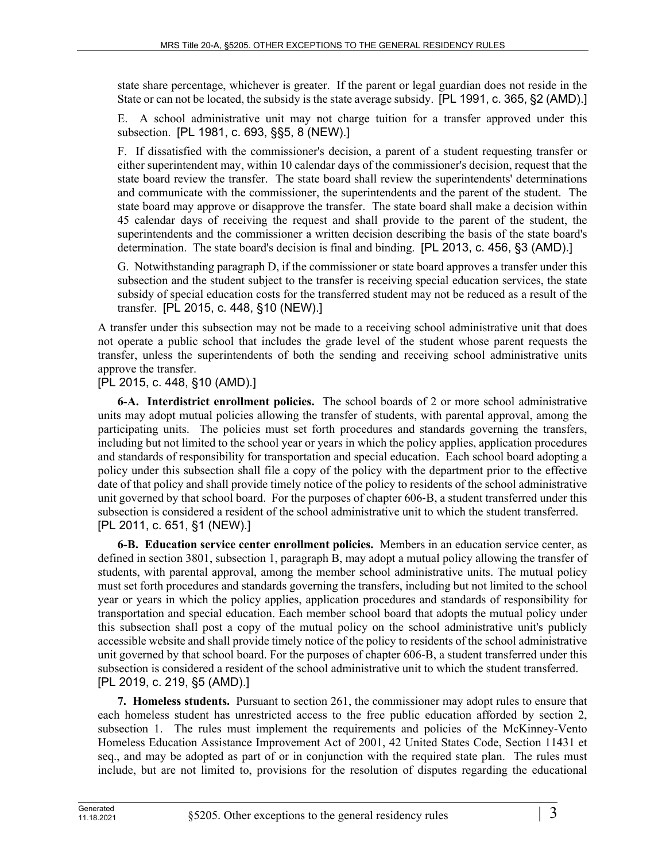state share percentage, whichever is greater. If the parent or legal guardian does not reside in the State or can not be located, the subsidy is the state average subsidy. [PL 1991, c. 365, §2 (AMD).]

E. A school administrative unit may not charge tuition for a transfer approved under this subsection. [PL 1981, c. 693, §§5, 8 (NEW).]

F. If dissatisfied with the commissioner's decision, a parent of a student requesting transfer or either superintendent may, within 10 calendar days of the commissioner's decision, request that the state board review the transfer. The state board shall review the superintendents' determinations and communicate with the commissioner, the superintendents and the parent of the student. The state board may approve or disapprove the transfer. The state board shall make a decision within 45 calendar days of receiving the request and shall provide to the parent of the student, the superintendents and the commissioner a written decision describing the basis of the state board's determination. The state board's decision is final and binding. [PL 2013, c. 456, §3 (AMD).]

G. Notwithstanding paragraph D, if the commissioner or state board approves a transfer under this subsection and the student subject to the transfer is receiving special education services, the state subsidy of special education costs for the transferred student may not be reduced as a result of the transfer. [PL 2015, c. 448, §10 (NEW).]

A transfer under this subsection may not be made to a receiving school administrative unit that does not operate a public school that includes the grade level of the student whose parent requests the transfer, unless the superintendents of both the sending and receiving school administrative units approve the transfer.

[PL 2015, c. 448, §10 (AMD).]

**6-A. Interdistrict enrollment policies.** The school boards of 2 or more school administrative units may adopt mutual policies allowing the transfer of students, with parental approval, among the participating units. The policies must set forth procedures and standards governing the transfers, including but not limited to the school year or years in which the policy applies, application procedures and standards of responsibility for transportation and special education. Each school board adopting a policy under this subsection shall file a copy of the policy with the department prior to the effective date of that policy and shall provide timely notice of the policy to residents of the school administrative unit governed by that school board. For the purposes of chapter 606‑B, a student transferred under this subsection is considered a resident of the school administrative unit to which the student transferred. [PL 2011, c. 651, §1 (NEW).]

**6-B. Education service center enrollment policies.** Members in an education service center, as defined in section 3801, subsection 1, paragraph B, may adopt a mutual policy allowing the transfer of students, with parental approval, among the member school administrative units. The mutual policy must set forth procedures and standards governing the transfers, including but not limited to the school year or years in which the policy applies, application procedures and standards of responsibility for transportation and special education. Each member school board that adopts the mutual policy under this subsection shall post a copy of the mutual policy on the school administrative unit's publicly accessible website and shall provide timely notice of the policy to residents of the school administrative unit governed by that school board. For the purposes of chapter 606‑B, a student transferred under this subsection is considered a resident of the school administrative unit to which the student transferred. [PL 2019, c. 219, §5 (AMD).]

**7. Homeless students.** Pursuant to section 261, the commissioner may adopt rules to ensure that each homeless student has unrestricted access to the free public education afforded by section 2, subsection 1. The rules must implement the requirements and policies of the McKinney-Vento Homeless Education Assistance Improvement Act of 2001, 42 United States Code, Section 11431 et seq., and may be adopted as part of or in conjunction with the required state plan. The rules must include, but are not limited to, provisions for the resolution of disputes regarding the educational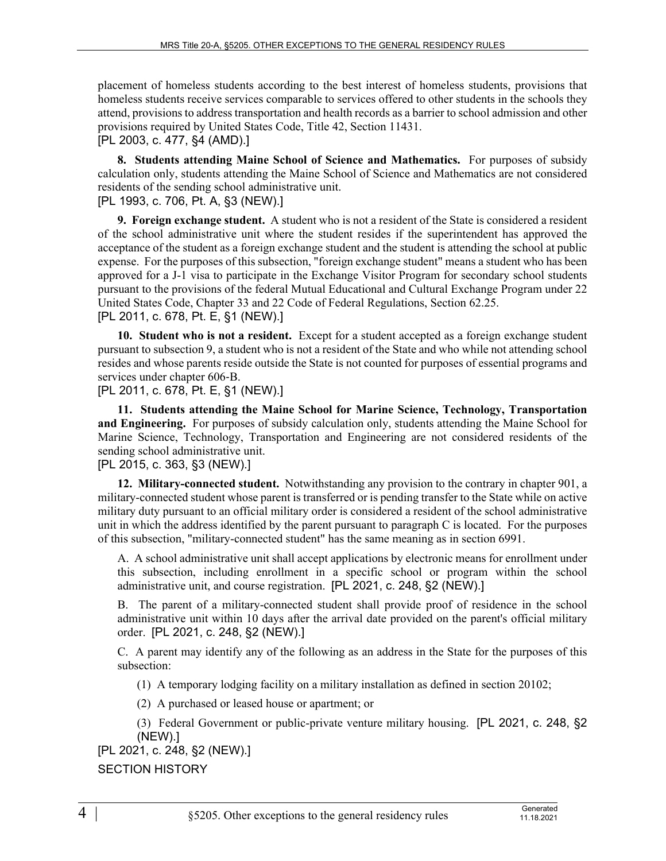placement of homeless students according to the best interest of homeless students, provisions that homeless students receive services comparable to services offered to other students in the schools they attend, provisions to address transportation and health records as a barrier to school admission and other provisions required by United States Code, Title 42, Section 11431.

[PL 2003, c. 477, §4 (AMD).]

**8. Students attending Maine School of Science and Mathematics.** For purposes of subsidy calculation only, students attending the Maine School of Science and Mathematics are not considered residents of the sending school administrative unit.

[PL 1993, c. 706, Pt. A, §3 (NEW).]

**9. Foreign exchange student.** A student who is not a resident of the State is considered a resident of the school administrative unit where the student resides if the superintendent has approved the acceptance of the student as a foreign exchange student and the student is attending the school at public expense. For the purposes of this subsection, "foreign exchange student" means a student who has been approved for a J-1 visa to participate in the Exchange Visitor Program for secondary school students pursuant to the provisions of the federal Mutual Educational and Cultural Exchange Program under 22 United States Code, Chapter 33 and 22 Code of Federal Regulations, Section 62.25. [PL 2011, c. 678, Pt. E, §1 (NEW).]

**10. Student who is not a resident.** Except for a student accepted as a foreign exchange student pursuant to subsection 9, a student who is not a resident of the State and who while not attending school resides and whose parents reside outside the State is not counted for purposes of essential programs and services under chapter 606‑B.

[PL 2011, c. 678, Pt. E, §1 (NEW).]

**11. Students attending the Maine School for Marine Science, Technology, Transportation and Engineering.** For purposes of subsidy calculation only, students attending the Maine School for Marine Science, Technology, Transportation and Engineering are not considered residents of the sending school administrative unit.

## [PL 2015, c. 363, §3 (NEW).]

**12. Military-connected student.** Notwithstanding any provision to the contrary in chapter 901, a military-connected student whose parent is transferred or is pending transfer to the State while on active military duty pursuant to an official military order is considered a resident of the school administrative unit in which the address identified by the parent pursuant to paragraph  $C$  is located. For the purposes of this subsection, "military-connected student" has the same meaning as in section 6991.

A. A school administrative unit shall accept applications by electronic means for enrollment under this subsection, including enrollment in a specific school or program within the school administrative unit, and course registration. [PL 2021, c. 248, §2 (NEW).]

B. The parent of a military-connected student shall provide proof of residence in the school administrative unit within 10 days after the arrival date provided on the parent's official military order. [PL 2021, c. 248, §2 (NEW).]

C. A parent may identify any of the following as an address in the State for the purposes of this subsection:

(1) A temporary lodging facility on a military installation as defined in section 20102;

(2) A purchased or leased house or apartment; or

(3) Federal Government or public-private venture military housing. [PL 2021, c. 248, §2 (NEW).]

# [PL 2021, c. 248, §2 (NEW).]

#### SECTION HISTORY